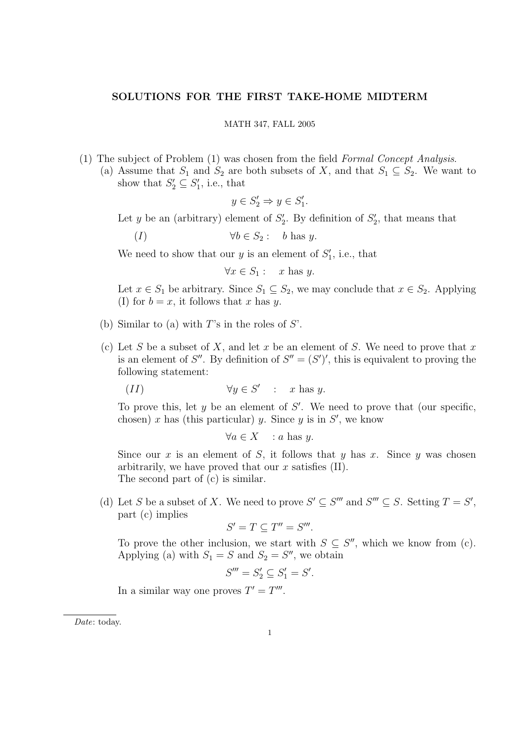## SOLUTIONS FOR THE FIRST TAKE-HOME MIDTERM

## MATH 347, FALL 2005

- (1) The subject of Problem (1) was chosen from the field Formal Concept Analysis.
	- (a) Assume that  $S_1$  and  $S_2$  are both subsets of X, and that  $S_1 \subseteq S_2$ . We want to show that  $S'_2 \subseteq S'_1$ , i.e., that

$$
y \in S_2' \Rightarrow y \in S_1'.
$$

Let y be an (arbitrary) element of  $S_2'$ . By definition of  $S_2'$ , that means that

(I)  $\forall b \in S_2: b \text{ has } y.$ 

We need to show that our  $y$  is an element of  $S'_1$ , i.e., that

$$
\forall x \in S_1 : x \text{ has } y.
$$

Let  $x \in S_1$  be arbitrary. Since  $S_1 \subseteq S_2$ , we may conclude that  $x \in S_2$ . Applying (I) for  $b = x$ , it follows that x has y.

- (b) Similar to (a) with  $T$ 's in the roles of  $S'$ .
- (c) Let S be a subset of X, and let x be an element of S. We need to prove that x is an element of S''. By definition of  $S'' = (S')'$ , this is equivalent to proving the following statement:

$$
(II) \t\t \forall y \in S' : x \text{ has } y.
$$

To prove this, let  $y$  be an element of  $S'$ . We need to prove that (our specific, chosen) x has (this particular) y. Since y is in  $S'$ , we know

$$
\forall a \in X \quad : a \text{ has } y.
$$

Since our x is an element of S, it follows that y has x. Since y was chosen arbitrarily, we have proved that our  $x$  satisfies (II). The second part of (c) is similar.

(d) Let S be a subset of X. We need to prove  $S' \subseteq S'''$  and  $S''' \subseteq S$ . Setting  $T = S'$ , part (c) implies

$$
S'=T\subseteq T''=S'''.
$$

To prove the other inclusion, we start with  $S \subseteq S''$ , which we know from (c). Applying (a) with  $S_1 = S$  and  $S_2 = S''$ , we obtain

$$
S''' = S_2' \subseteq S_1' = S'.
$$

In a similar way one proves  $T' = T'''$ .

Date: today.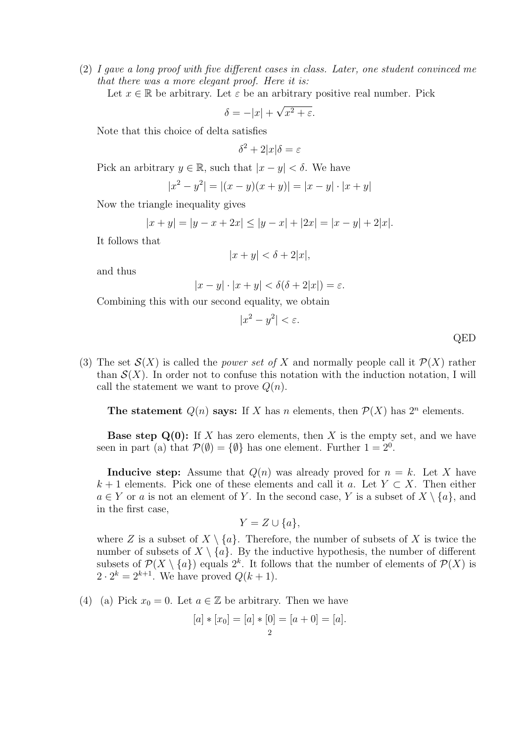(2) I gave a long proof with five different cases in class. Later, one student convinced me that there was a more elegant proof. Here it is:

Let  $x \in \mathbb{R}$  be arbitrary. Let  $\varepsilon$  be an arbitrary positive real number. Pick

$$
\delta = -|x| + \sqrt{x^2 + \varepsilon}.
$$

Note that this choice of delta satisfies

$$
\delta^2 + 2|x|\delta = \varepsilon
$$

Pick an arbitrary  $y \in \mathbb{R}$ , such that  $|x - y| < \delta$ . We have

$$
|x^{2} - y^{2}| = |(x - y)(x + y)| = |x - y| \cdot |x + y|
$$

Now the triangle inequality gives

$$
|x + y| = |y - x + 2x| \le |y - x| + |2x| = |x - y| + 2|x|.
$$

It follows that

$$
|x+y| < \delta + 2|x|
$$

and thus

$$
|x - y| \cdot |x + y| < \delta(\delta + 2|x|) = \varepsilon.
$$

Combining this with our second equality, we obtain

$$
|x^2 - y^2| < \varepsilon.
$$

QED

(3) The set  $\mathcal{S}(X)$  is called the *power set of* X and normally people call it  $\mathcal{P}(X)$  rather than  $\mathcal{S}(X)$ . In order not to confuse this notation with the induction notation, I will call the statement we want to prove  $Q(n)$ .

The statement  $Q(n)$  says: If X has n elements, then  $\mathcal{P}(X)$  has  $2^n$  elements.

**Base step Q(0):** If X has zero elements, then X is the empty set, and we have seen in part (a) that  $\mathcal{P}(\emptyset) = \{\emptyset\}$  has one element. Further  $1 = 2^0$ .

**Inducive step:** Assume that  $Q(n)$  was already proved for  $n = k$ . Let X have  $k+1$  elements. Pick one of these elements and call it a. Let  $Y \subset X$ . Then either  $a \in Y$  or a is not an element of Y. In the second case, Y is a subset of  $X \setminus \{a\}$ , and in the first case,

$$
Y = Z \cup \{a\},\
$$

where Z is a subset of  $X \setminus \{a\}$ . Therefore, the number of subsets of X is twice the number of subsets of  $X \setminus \{a\}$ . By the inductive hypothesis, the number of different subsets of  $\mathcal{P}(X \setminus \{a\})$  equals  $2^k$ . It follows that the number of elements of  $\mathcal{P}(X)$  is  $2 \cdot 2^k = 2^{k+1}$ . We have proved  $Q(k+1)$ .

(4) (a) Pick  $x_0 = 0$ . Let  $a \in \mathbb{Z}$  be arbitrary. Then we have

$$
[a] * [x_0] = [a] * [0] = [a + 0] = [a].
$$
  
<sub>2</sub>